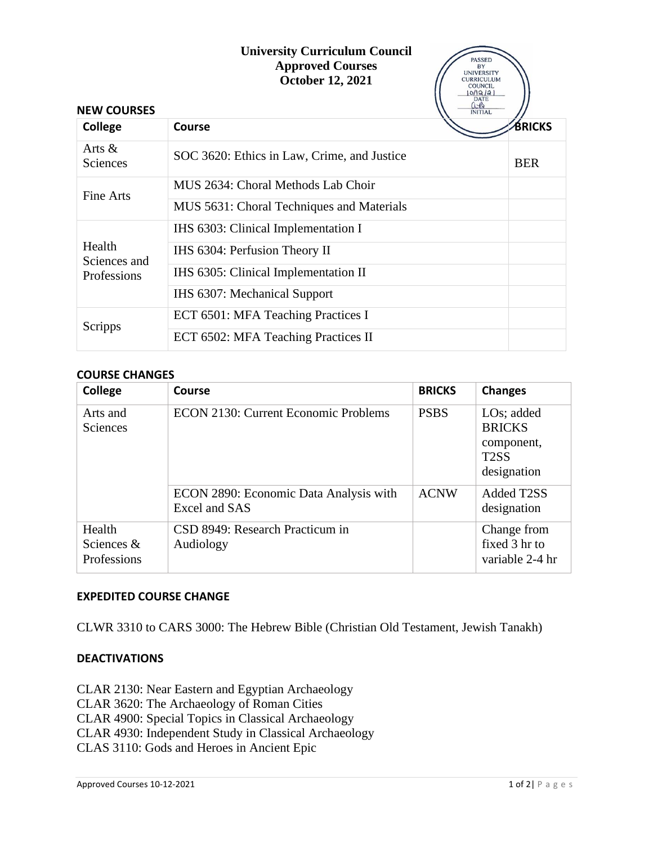## **University Curriculum Council Approved Courses**

 $\sqrt{}$ 

|                                       | <b>Approved Courses</b><br>October 12, 2021 | <b>PASSED</b><br>BY<br><b>UNIVERSITY</b><br><b>CURRICULUM</b><br><b>COUNCIL</b><br>0/12/21<br><b>DATE</b> |               |
|---------------------------------------|---------------------------------------------|-----------------------------------------------------------------------------------------------------------|---------------|
| <b>NEW COURSES</b>                    |                                             | $\frac{0.8}{NITIAL}$                                                                                      |               |
| <b>College</b>                        | Course                                      |                                                                                                           | <b>BRICKS</b> |
| Arts $\&$<br><b>Sciences</b>          | SOC 3620: Ethics in Law, Crime, and Justice |                                                                                                           | <b>BER</b>    |
| Fine Arts                             | MUS 2634: Choral Methods Lab Choir          |                                                                                                           |               |
|                                       | MUS 5631: Choral Techniques and Materials   |                                                                                                           |               |
| Health<br>Sciences and<br>Professions | IHS 6303: Clinical Implementation I         |                                                                                                           |               |
|                                       | IHS 6304: Perfusion Theory II               |                                                                                                           |               |
|                                       | IHS 6305: Clinical Implementation II        |                                                                                                           |               |
|                                       | IHS 6307: Mechanical Support                |                                                                                                           |               |
| Scripps                               | ECT 6501: MFA Teaching Practices I          |                                                                                                           |               |
|                                       | ECT 6502: MFA Teaching Practices II         |                                                                                                           |               |

## **COURSE CHANGES**

| College                               | Course                                                  | <b>BRICKS</b> | <b>Changes</b>                                                                   |
|---------------------------------------|---------------------------------------------------------|---------------|----------------------------------------------------------------------------------|
| Arts and<br>Sciences                  | <b>ECON 2130: Current Economic Problems</b>             | <b>PSBS</b>   | $LOS$ ; added<br><b>BRICKS</b><br>component,<br>T <sub>2</sub> SS<br>designation |
|                                       | ECON 2890: Economic Data Analysis with<br>Excel and SAS | <b>ACNW</b>   | Added T2SS<br>designation                                                        |
| Health<br>Sciences $&$<br>Professions | CSD 8949: Research Practicum in<br>Audiology            |               | Change from<br>fixed 3 hr to<br>variable 2-4 hr                                  |

## **EXPEDITED COURSE CHANGE**

CLWR 3310 to CARS 3000: The Hebrew Bible (Christian Old Testament, Jewish Tanakh)

## **DEACTIVATIONS**

CLAR 2130: Near Eastern and Egyptian Archaeology CLAR 3620: The Archaeology of Roman Cities CLAR 4900: Special Topics in Classical Archaeology CLAR 4930: Independent Study in Classical Archaeology CLAS 3110: Gods and Heroes in Ancient Epic